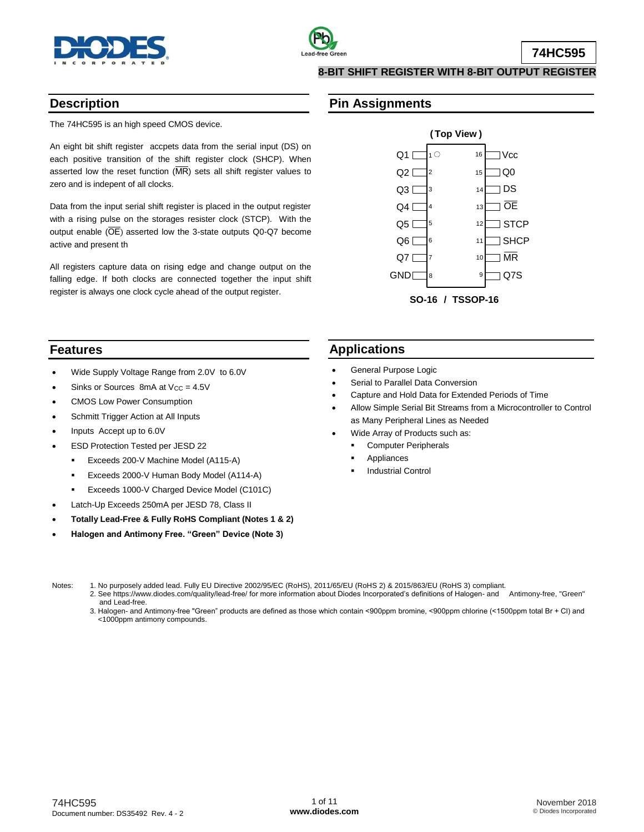



**74HC595**

## **8-BIT SHIFT REGISTER WITH 8-BIT OUTPUT REGISTER**

## **Description**

The 74HC595 is an high speed CMOS device.

An eight bit shift register accpets data from the serial input (DS) on each positive transition of the shift register clock (SHCP). When asserted low the reset function  $(MR)$  sets all shift register values to zero and is indepent of all clocks.

Data from the input serial shift register is placed in the output register with a rising pulse on the storages resister clock (STCP). With the output enable  $(OE)$  asserted low the 3-state outputs Q0-Q7 become active and present th

All registers capture data on rising edge and change output on the falling edge. If both clocks are connected together the input shift register is always one clock cycle ahead of the output register.



## **Features**

- Wide Supply Voltage Range from 2.0V to 6.0V
- Sinks or Sources 8mA at  $V_{CC} = 4.5V$
- CMOS Low Power Consumption
- Schmitt Trigger Action at All Inputs
- Inputs Accept up to 6.0V
- ESD Protection Tested per JESD 22
	- **Exceeds 200-V Machine Model (A115-A)**
	- **Exceeds 2000-V Human Body Model (A114-A)**
	- **Exceeds 1000-V Charged Device Model (C101C)**
- Latch-Up Exceeds 250mA per JESD 78, Class II
- **Totally Lead-Free & Fully RoHS Compliant (Notes 1 & 2)**
- **Halogen and Antimony Free. "Green" Device (Note 3)**

## **Applications**

General Purpose Logic

**Pin Assignments**

- Serial to Parallel Data Conversion
- Capture and Hold Data for Extended Periods of Time
- Allow Simple Serial Bit Streams from a Microcontroller to Control as Many Peripheral Lines as Needed
- Wide Array of Products such as:
	- Computer Peripherals
		- Appliances
		- Industrial Control

- Notes: 1. No purposely added lead. Fully EU Directive 2002/95/EC (RoHS), 2011/65/EU (RoHS 2) & 2015/863/EU (RoHS 3) compliant.
	- 2. See [https://www.diodes.com/quality/lead-free/ fo](https://www.diodes.com/quality/lead-free/)r more information about Diodes Incorporated's definitions of Halogen- and Antimony-free, "Green" and Lead-free.
	- 3. Halogen- and Antimony-free "Green" products are defined as those which contain <900ppm bromine, <900ppm chlorine (<1500ppm total Br + Cl) and <1000ppm antimony compounds.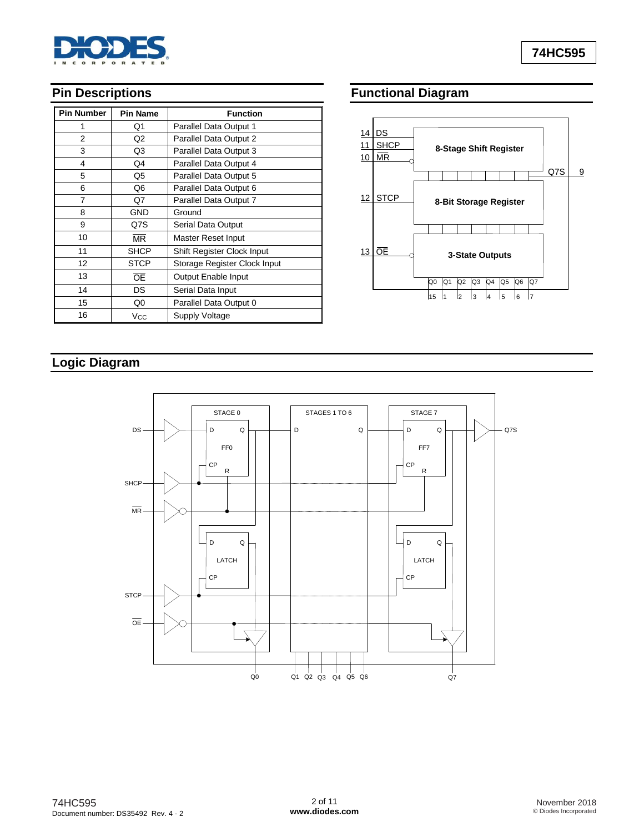

# **Pin Descriptions**

| <b>Pin Number</b> | <b>Pin Name</b> | <b>Function</b>              |
|-------------------|-----------------|------------------------------|
| 1                 | Q1              | Parallel Data Output 1       |
| $\overline{2}$    | Q <sub>2</sub>  | Parallel Data Output 2       |
| 3                 | Q3              | Parallel Data Output 3       |
| 4                 | Q4              | Parallel Data Output 4       |
| 5                 | Q5              | Parallel Data Output 5       |
| 6                 | Q6              | Parallel Data Output 6       |
| 7                 | Q7              | Parallel Data Output 7       |
| 8                 | <b>GND</b>      | Ground                       |
| 9                 | Q7S             | Serial Data Output           |
| 10                | <b>MR</b>       | Master Reset Input           |
| 11                | <b>SHCP</b>     | Shift Register Clock Input   |
| 12                | <b>STCP</b>     | Storage Register Clock Input |
| 13                | Œ               | Output Enable Input          |
| 14                | DS              | Serial Data Input            |
| 15                | Q0              | Parallel Data Output 0       |
| 16                | Vcc             | Supply Voltage               |

# **Functional Diagram**



# **Logic Diagram**

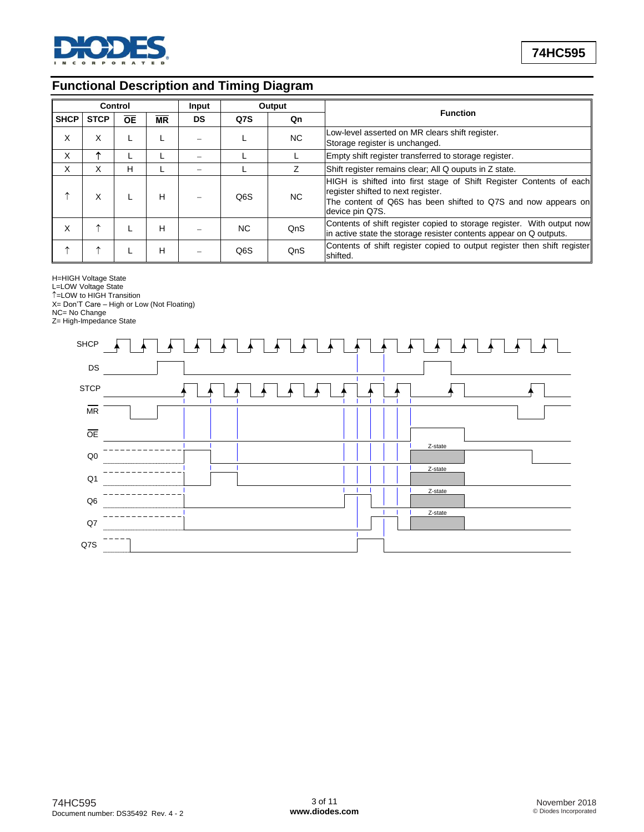

# **Functional Description and Timing Diagram**

|             |             | Control   |                        | Input     | Output           |                                                                                                                                                                                                      |                                                                                                                                              |
|-------------|-------------|-----------|------------------------|-----------|------------------|------------------------------------------------------------------------------------------------------------------------------------------------------------------------------------------------------|----------------------------------------------------------------------------------------------------------------------------------------------|
| <b>SHCP</b> | <b>STCP</b> | <b>OE</b> | $\overline{\text{MR}}$ | <b>DS</b> | Q7S              | Qn                                                                                                                                                                                                   | <b>Function</b>                                                                                                                              |
| X           | X           |           |                        |           | NC.              |                                                                                                                                                                                                      | Low-level asserted on MR clears shift register.<br>Storage register is unchanged.                                                            |
| X           |             |           |                        |           |                  |                                                                                                                                                                                                      | Empty shift register transferred to storage register.                                                                                        |
| X           | X           | H         |                        |           |                  | Shift register remains clear; All Q ouputs in Z state.                                                                                                                                               |                                                                                                                                              |
|             | X           |           | н                      |           | Q <sub>6</sub> S | HIGH is shifted into first stage of Shift Register Contents of each<br>register shifted to next register.<br>NC.<br>The content of Q6S has been shifted to Q7S and now appears on<br>device pin Q7S. |                                                                                                                                              |
| X           | ∧           |           | н                      |           | NC.              | QnS                                                                                                                                                                                                  | Contents of shift register copied to storage register. With output now<br>in active state the storage resister contents appear on Q outputs. |
| ᠰ           | ∧           |           | н                      |           | Q6S              | QnS                                                                                                                                                                                                  | Contents of shift register copied to output register then shift register<br>shifted.                                                         |

H=HIGH Voltage State

L=LOW Voltage State

=LOW to HIGH Transition

X= Don'T Care – High or Low (Not Floating) NC= No Change

Z= High-Impedance State

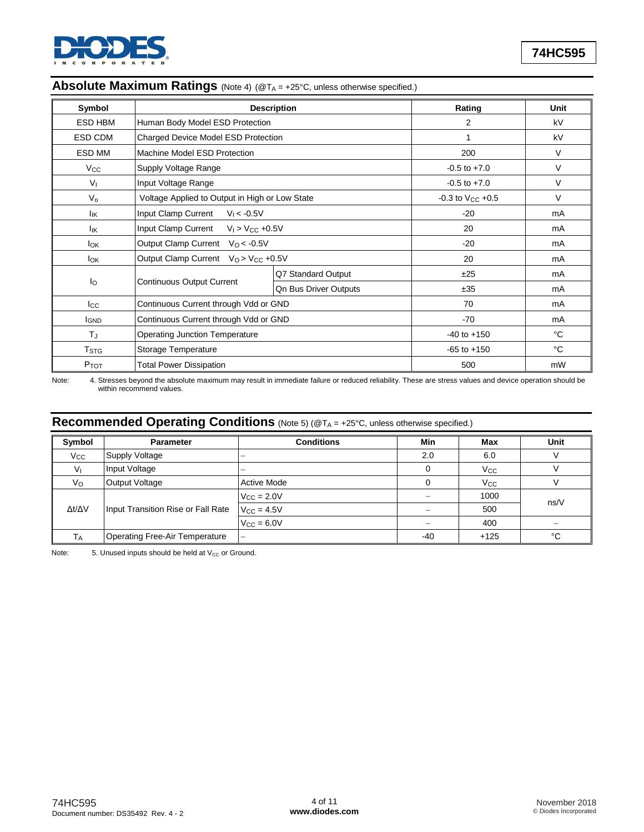

|  |  |  | Absolute Maximum Ratings (Note 4) (@TA = +25°C, unless otherwise specified.) |
|--|--|--|------------------------------------------------------------------------------|
|--|--|--|------------------------------------------------------------------------------|

| Symbol                  |                                                | <b>Description</b>           | Rating                    | <b>Unit</b> |
|-------------------------|------------------------------------------------|------------------------------|---------------------------|-------------|
| <b>ESD HBM</b>          | Human Body Model ESD Protection                | 2                            | kV                        |             |
| ESD CDM                 | Charged Device Model ESD Protection            | 1                            | kV                        |             |
| ESD MM                  | Machine Model ESD Protection                   |                              | 200                       | V           |
| $V_{\rm CC}$            | Supply Voltage Range                           |                              | $-0.5$ to $+7.0$          | V           |
| V <sub>1</sub>          | Input Voltage Range                            |                              | $-0.5$ to $+7.0$          | V           |
| $V_{o}$                 | Voltage Applied to Output in High or Low State |                              | $-0.3$ to $V_{CC}$ $+0.5$ | V           |
| lικ                     | Input Clamp Current<br>$V_1 < -0.5V$           |                              | $-20$                     | mA          |
| lικ                     | Input Clamp Current<br>$V_1 > V_{CC} +0.5V$    |                              | 20                        | mA          |
| <b>l</b> ok             | Output Clamp Current Vo < - 0.5V               |                              | $-20$                     | mA          |
| lok                     | Output Clamp Current $V_Q > V_{CC} +0.5V$      |                              | 20                        | mA          |
|                         |                                                | Q7 Standard Output           | ±25                       | mA          |
| $I_{\Omega}$            | <b>Continuous Output Current</b>               | <b>Qn Bus Driver Outputs</b> | ±35                       | mA          |
| $_{\rm lcc}$            | Continuous Current through Vdd or GND          |                              | 70                        | mA          |
| <b>I</b> GND            | Continuous Current through Vdd or GND          |                              | $-70$                     | mA          |
| TJ                      | <b>Operating Junction Temperature</b>          |                              | $-40$ to $+150$           | °C          |
| <b>T</b> <sub>STG</sub> | Storage Temperature                            |                              | $-65$ to $+150$           | °C          |
| P <sub>TOT</sub>        | <b>Total Power Dissipation</b>                 |                              | 500                       | mW          |

Note: 4. Stresses beyond the absolute maximum may result in immediate failure or reduced reliability. These are stress values and device operation should be within recommend values.

# **Recommended Operating Conditions** (Note 5) (@T<sup>A</sup> = +25°C, unless otherwise specified.)

| Symbol              | <b>Parameter</b>                      | <b>Conditions</b>    | Min | Max                   | Unit |
|---------------------|---------------------------------------|----------------------|-----|-----------------------|------|
| $V_{\rm CC}$        | Supply Voltage                        | -                    | 2.0 | 6.0                   |      |
| Vı                  | Input Voltage                         | -                    |     | <b>V<sub>cc</sub></b> |      |
| $V_{\rm O}$         | <b>Output Voltage</b>                 | <b>Active Mode</b>   |     | $V_{\rm CC}$          |      |
|                     |                                       | $V_{\rm CC} = 2.0 V$ |     | 1000                  |      |
| $\Delta t/\Delta V$ | Input Transition Rise or Fall Rate    | $V_{CC} = 4.5V$      |     | 500                   | ns/V |
|                     |                                       | $V_{CC} = 6.0V$      |     | 400                   |      |
| Т <sub>А</sub>      | <b>Operating Free-Air Temperature</b> | -                    | -40 | $+125$                | °C   |

Note:  $5.$  Unused inputs should be held at  $V_{CC}$  or Ground.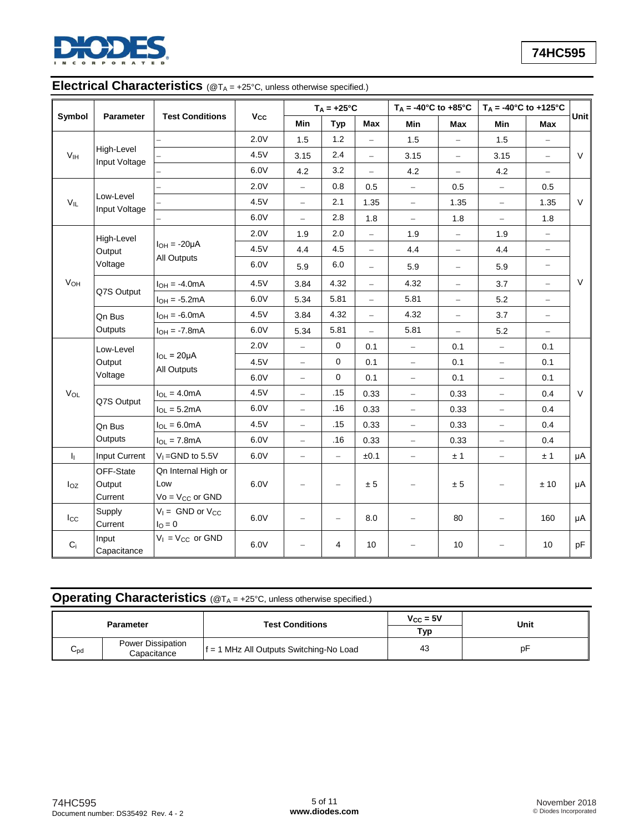

# **Electrical Characteristics** ( $@T_A = +25^\circ C$ , unless otherwise specified.)

|                 |                                            |                                                      |      |                          | $T_A = +25$ °C           |                          | $T_A = -40$ °C to $+85$ °C |                          | $T_A = -40^{\circ}C$ to $+125^{\circ}C$ |                          |        |
|-----------------|--------------------------------------------|------------------------------------------------------|------|--------------------------|--------------------------|--------------------------|----------------------------|--------------------------|-----------------------------------------|--------------------------|--------|
| Symbol          | <b>Parameter</b>                           | <b>Test Conditions</b>                               | Vcc  | Min                      | <b>Typ</b>               | <b>Max</b>               | Min                        | Max                      | Min                                     | Max                      | Unit   |
|                 |                                            |                                                      | 2.0V | $1.5$                    | 1.2                      | $\equiv$                 | 1.5                        |                          | 1.5                                     |                          |        |
| V <sub>IH</sub> | High-Level<br>Input Voltage                |                                                      | 4.5V | 3.15                     | 2.4                      | $\equiv$                 | 3.15                       | $\equiv$                 | 3.15                                    | $\equiv$                 | $\vee$ |
|                 |                                            |                                                      | 6.0V | 4.2                      | 3.2                      | $\overline{\phantom{0}}$ | 4.2                        | $\overline{\phantom{0}}$ | 4.2                                     |                          |        |
|                 |                                            |                                                      | 2.0V | $\bar{ }$                | 0.8                      | 0.5                      | $\equiv$                   | 0.5                      | $\equiv$                                | 0.5                      |        |
| $V_{IL}$        | Low-Level<br>Input Voltage                 |                                                      | 4.5V | $\equiv$                 | 2.1                      | 1.35                     | $\equiv$                   | 1.35                     | $\overline{\phantom{0}}$                | 1.35                     | $\vee$ |
|                 |                                            |                                                      | 6.0V | $\qquad \qquad -$        | 2.8                      | 1.8                      | $\equiv$                   | 1.8                      | $\equiv$                                | 1.8                      |        |
|                 | High-Level                                 |                                                      | 2.0V | 1.9                      | 2.0                      | $\qquad \qquad -$        | 1.9                        | $\qquad \qquad -$        | 1.9                                     | -                        |        |
|                 | Output                                     | $I_{OH} = -20\mu A$                                  | 4.5V | 4.4                      | 4.5                      | $\qquad \qquad -$        | 4.4                        | $\qquad \qquad -$        | 4.4                                     | -                        |        |
|                 | Voltage                                    | All Outputs                                          | 6.0V | 5.9                      | 6.0                      | $\equiv$                 | 5.9                        | $\overline{\phantom{m}}$ | 5.9                                     | $\overline{\phantom{0}}$ |        |
| VOH             |                                            | $I_{OH} = -4.0mA$                                    | 4.5V | 3.84                     | 4.32                     | $\hspace{0.1in} -$       | 4.32                       | $\qquad \qquad -$        | 3.7                                     | $\equiv$                 | $\vee$ |
|                 | Q7S Output                                 | $I_{OH} = -5.2mA$                                    | 6.0V | 5.34                     | 5.81                     | $\frac{1}{2}$            | 5.81                       | $\qquad \qquad -$        | 5.2                                     | $\equiv$                 |        |
|                 | Qn Bus                                     | $IOH = -6.0mA$                                       | 4.5V | 3.84                     | 4.32                     | $\overline{\phantom{a}}$ | 4.32                       | $\equiv$                 | 3.7                                     | $\overline{\phantom{0}}$ |        |
|                 | Outputs                                    | $I_{OH} = -7.8mA$                                    | 6.0V | 5.34                     | 5.81                     | $\overline{a}$           | 5.81                       | $\equiv$                 | 5.2                                     | $\equiv$                 |        |
|                 | Low-Level<br>$I_{OL} = 20 \mu A$<br>Output |                                                      | 2.0V | $\equiv$                 | $\mathbf 0$              | 0.1                      | $\equiv$                   | 0.1                      | $\hspace{0.1in} -$                      | 0.1                      |        |
|                 |                                            | All Outputs                                          | 4.5V | $\bar{ }$                | $\mathbf 0$              | 0.1                      | $\qquad \qquad -$          | 0.1                      | $\overline{\phantom{m}}$                | 0.1                      |        |
|                 | Voltage                                    |                                                      | 6.0V | $\equiv$                 | 0                        | 0.1                      | $\qquad \qquad -$          | 0.1                      | ÷                                       | 0.1                      |        |
| VOL             |                                            | $I_{OL} = 4.0mA$                                     | 4.5V | $\equiv$                 | .15                      | 0.33                     | $\qquad \qquad -$          | 0.33                     | $\qquad \qquad -$                       | 0.4                      | $\vee$ |
|                 | Q7S Output                                 | $I_{OL} = 5.2mA$                                     | 6.0V | $\qquad \qquad -$        | .16                      | 0.33                     | $\equiv$                   | 0.33                     | $\qquad \qquad -$                       | 0.4                      |        |
|                 | Qn Bus                                     | $I_{OL} = 6.0mA$                                     | 4.5V | $\equiv$                 | .15                      | 0.33                     | $\hspace{0.1in} -$         | 0.33                     | $\equiv$                                | 0.4                      |        |
|                 | Outputs                                    | $I_{OL} = 7.8mA$                                     | 6.0V | $\qquad \qquad -$        | .16                      | 0.33                     | $\equiv$                   | 0.33                     | $\overline{\phantom{m}}$                | 0.4                      |        |
| h.              | Input Current                              | $V_1 =$ GND to 5.5V                                  | 6.0V | $\equiv$                 | -                        | ±0.1                     | $\equiv$                   | ±1                       | ÷                                       | ±1                       | μA     |
| loz             | OFF-State<br>Output<br>Current             | Qn Internal High or<br>Low<br>$Vo = V_{CC}$ or $GND$ | 6.0V | $\overline{\phantom{0}}$ | $\equiv$                 | ± 5                      |                            | ± 5                      | $\qquad \qquad -$                       | ± 10                     | μA     |
| $I_{\rm CC}$    | Supply<br>Current                          | $V_1 =$ GND or $V_{CC}$<br>$IO = 0$                  | 6.0V | $\overline{\phantom{0}}$ | $\overline{\phantom{0}}$ | 8.0                      |                            | 80                       | $\overline{\phantom{0}}$                | 160                      | μA     |
| $C_i$           | Input<br>Capacitance                       | $V_1 = V_{CC}$ or GND                                | 6.0V | $\overline{\phantom{0}}$ | 4                        | 10                       |                            | 10                       |                                         | 10                       | pF     |

# **Operating Characteristics** (@T<sub>A</sub> = +25°C, unless otherwise specified.)

| <b>Parameter</b>                                  |  | <b>Test Conditions</b>                  | $V_{\rm CC} = 5V$<br>Typ | Unit |
|---------------------------------------------------|--|-----------------------------------------|--------------------------|------|
| Power Dissipation<br>$\sim$<br>∪pd<br>Capacitance |  | f = 1 MHz All Outputs Switching-No Load | 43                       | рF   |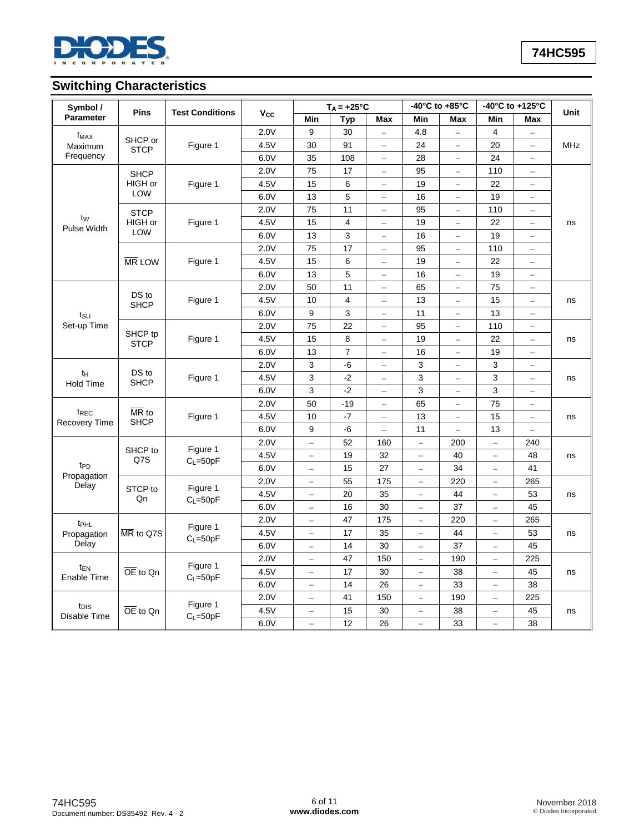

# **Switching Characteristics**

| Symbol /                                 |                                          |                          |      |                          | $T_A = +25$ °C |                          |                          | -40 $^{\circ}$ C to +85 $^{\circ}$ C |                          | -40°C to +125°C          |    |    |  |            |
|------------------------------------------|------------------------------------------|--------------------------|------|--------------------------|----------------|--------------------------|--------------------------|--------------------------------------|--------------------------|--------------------------|----|----|--|------------|
| <b>Pins</b><br>Parameter                 | <b>Test Conditions</b>                   | <b>V<sub>cc</sub></b>    | Min  | <b>Typ</b>               | Max            | Min                      | Max                      | Min                                  | Max                      | <b>Unit</b>              |    |    |  |            |
| $f_{MAX}$                                |                                          |                          | 2.0V | 9                        | 30             | $\overline{\phantom{0}}$ | 4.8                      | $\overline{\phantom{0}}$             | 4                        |                          |    |    |  |            |
| Maximum                                  |                                          | SHCP or                  |      | <b>STCP</b>              | Figure 1       | 4.5V                     | 30                       | 91                                   |                          | 24                       |    | 20 |  | <b>MHz</b> |
| Frequency                                |                                          |                          | 6.0V | 35                       | 108            | $-$                      | 28                       | $\bar{ }$                            | 24                       | $\equiv$                 |    |    |  |            |
|                                          | <b>SHCP</b>                              |                          | 2.0V | 75                       | 17             | $\equiv$                 | 95                       | $\overline{\phantom{0}}$             | 110                      | $\equiv$                 |    |    |  |            |
|                                          | HIGH or                                  | Figure 1                 | 4.5V | 15                       | 6              | -                        | 19                       | $\qquad \qquad -$                    | 22                       | $\overline{\phantom{0}}$ |    |    |  |            |
|                                          | LOW                                      |                          | 6.0V | 13                       | 5              | $\overline{\phantom{0}}$ | 16                       | $\overline{a}$                       | 19                       | $\overline{\phantom{0}}$ |    |    |  |            |
|                                          | <b>STCP</b>                              |                          | 2.0V | 75                       | 11             | $\overline{\phantom{0}}$ | 95                       | $\equiv$                             | 110                      | $\equiv$                 |    |    |  |            |
| $t_{\rm W}$<br>Pulse Width               | HIGH or                                  | Figure 1                 | 4.5V | 15                       | $\overline{4}$ | $\overline{\phantom{0}}$ | 19                       | $\equiv$                             | 22                       | $\overline{\phantom{0}}$ | ns |    |  |            |
|                                          | <b>LOW</b>                               |                          | 6.0V | 13                       | 3              | $\equiv$                 | 16                       | $\equiv$                             | 19                       | $\overline{\phantom{m}}$ |    |    |  |            |
|                                          |                                          |                          | 2.0V | 75                       | 17             | -                        | 95                       | $\overline{\phantom{0}}$             | 110                      | —                        |    |    |  |            |
|                                          | <b>MR LOW</b>                            | Figure 1                 | 4.5V | 15                       | 6              | $\equiv$                 | 19                       | $\overline{a}$                       | 22                       | $\qquad \qquad -$        |    |    |  |            |
|                                          |                                          |                          | 6.0V | 13                       | 5              | $\overline{\phantom{0}}$ | 16                       | $\sim$                               | 19                       | $\overline{a}$           |    |    |  |            |
|                                          |                                          |                          | 2.0V | 50                       | 11             | $=$                      | 65                       |                                      | 75                       | $\equiv$                 |    |    |  |            |
|                                          | DS to<br><b>SHCP</b>                     | Figure 1                 | 4.5V | 10                       | 4              | $\equiv$                 | 13                       | $\overline{\phantom{m}}$             | 15                       | $\qquad \qquad -$        | ns |    |  |            |
| tsu                                      |                                          |                          | 6.0V | 9                        | 3              | $\equiv$                 | 11                       | $\equiv$                             | 13                       | $\equiv$                 |    |    |  |            |
| Set-up Time                              |                                          |                          | 2.0V | 75                       | 22             | $\equiv$                 | 95                       | $\sim$                               | 110                      | $\equiv$                 |    |    |  |            |
|                                          | SHCP tp<br><b>STCP</b>                   | Figure 1                 | 4.5V | 15                       | 8              | $\overline{\phantom{0}}$ | 19                       | $\frac{1}{2}$                        | 22                       | $\overline{\phantom{0}}$ | ns |    |  |            |
|                                          |                                          |                          | 6.0V | 13                       | $\overline{7}$ | $\qquad \qquad -$        | 16                       | $\equiv$                             | 19                       | $\overline{\phantom{0}}$ |    |    |  |            |
|                                          |                                          | Figure 1                 | 2.0V | 3                        | -6             | $-$                      | 3                        | $\equiv$                             | 3                        | $\overline{a}$           |    |    |  |            |
| $t_H$<br><b>Hold Time</b>                | DS to<br><b>SHCP</b>                     |                          | 4.5V | 3                        | $-2$           | $\equiv$                 | 3                        | $\equiv$                             | 3                        | $\equiv$                 | ns |    |  |            |
|                                          |                                          |                          | 6.0V | 3                        | $-2$           | $\overline{\phantom{0}}$ | 3                        | $\qquad \qquad -$                    | 3                        | $\qquad \qquad -$        |    |    |  |            |
|                                          |                                          |                          | 2.0V | 50                       | $-19$          | $\qquad \qquad -$        | 65                       | $\qquad \qquad -$                    | 75                       | $\overline{\phantom{0}}$ |    |    |  |            |
| t <sub>REC</sub><br><b>Recovery Time</b> | $\overline{\text{MR}}$ to<br><b>SHCP</b> | Figure 1                 | 4.5V | 10                       | $-7$           | $\overline{\phantom{0}}$ | 13                       | $\overline{a}$                       | 15                       | ÷                        | ns |    |  |            |
|                                          |                                          |                          | 6.0V | 9                        | $-6$           | $\overline{\phantom{0}}$ | 11                       | $\overline{a}$                       | 13                       | $\overline{\phantom{0}}$ |    |    |  |            |
|                                          |                                          | Figure 1                 | 2.0V | $\equiv$                 | 52             | 160                      | $\equiv$                 | 200                                  | $\equiv$                 | 240                      |    |    |  |            |
|                                          | SHCP to<br>Q7S                           | $C_L = 50pF$             | 4.5V | $\qquad \qquad -$        | 19             | 32                       | $\overline{\phantom{a}}$ | 40                                   | $\overline{\phantom{0}}$ | 48                       | ns |    |  |            |
| t <sub>PD</sub>                          |                                          |                          | 6.0V | $\equiv$                 | 15             | 27                       | $\overline{\phantom{0}}$ | 34                                   |                          | 41                       |    |    |  |            |
| Propagation<br>Delay                     |                                          | Figure 1                 | 2.0V | $\qquad \qquad -$        | 55             | 175                      | $\equiv$                 | 220                                  | $\equiv$                 | 265                      |    |    |  |            |
|                                          | STCP to<br>Qn                            | $C_L = 50pF$             | 4.5V |                          | 20             | 35                       | $\overline{\phantom{0}}$ | 44                                   |                          | 53                       | ns |    |  |            |
|                                          |                                          |                          | 6.0V | $\overline{\phantom{0}}$ | 16             | 30                       | $\overline{\phantom{0}}$ | 37                                   | $\overline{\phantom{0}}$ | 45                       |    |    |  |            |
| t <sub>PHL</sub>                         |                                          | Figure 1                 | 2.0V | $\equiv$                 | 47             | 175                      | $\equiv$                 | 220                                  | $\equiv$                 | 265                      |    |    |  |            |
| Propagation                              | MR to Q7S                                | $C_L = 50pF$             | 4.5V | -                        | 17             | 35                       | -                        | 44                                   |                          | 53                       | ns |    |  |            |
| Delay                                    |                                          |                          | 6.0V | $\overline{\phantom{0}}$ | 14             | 30                       | -                        | 37                                   | $\overline{\phantom{0}}$ | 45                       |    |    |  |            |
|                                          |                                          |                          | 2.0V | $\equiv$                 | 47             | 150                      | $\equiv$                 | 190                                  | $\equiv$                 | 225                      |    |    |  |            |
| t <sub>EN</sub><br>Enable Time           | $\overline{OE}$ to Qn                    | Figure 1<br>$C_L = 50pF$ | 4.5V | $\overline{a}$           | 17             | 30                       | $\overline{a}$           | 38                                   | $\overline{a}$           | 45                       | ns |    |  |            |
|                                          |                                          |                          | 6.0V | $\equiv$                 | 14             | 26                       | $\equiv$                 | 33                                   | $\qquad \qquad -$        | 38                       |    |    |  |            |
|                                          |                                          |                          | 2.0V | ÷                        | 41             | 150                      | $\equiv$                 | 190                                  | ÷                        | 225                      |    |    |  |            |
| t <sub>DIS</sub><br>Disable Time         | OE to Qn                                 | Figure 1<br>$C_L = 50pF$ | 4.5V | $\equiv$                 | 15             | 30                       | $\equiv$                 | 38                                   | $\equiv$                 | 45                       | ns |    |  |            |
|                                          |                                          |                          | 6.0V | $\overline{a}$           | 12             | 26                       | $\overline{ }$           | 33                                   | $\overline{a}$           | 38                       |    |    |  |            |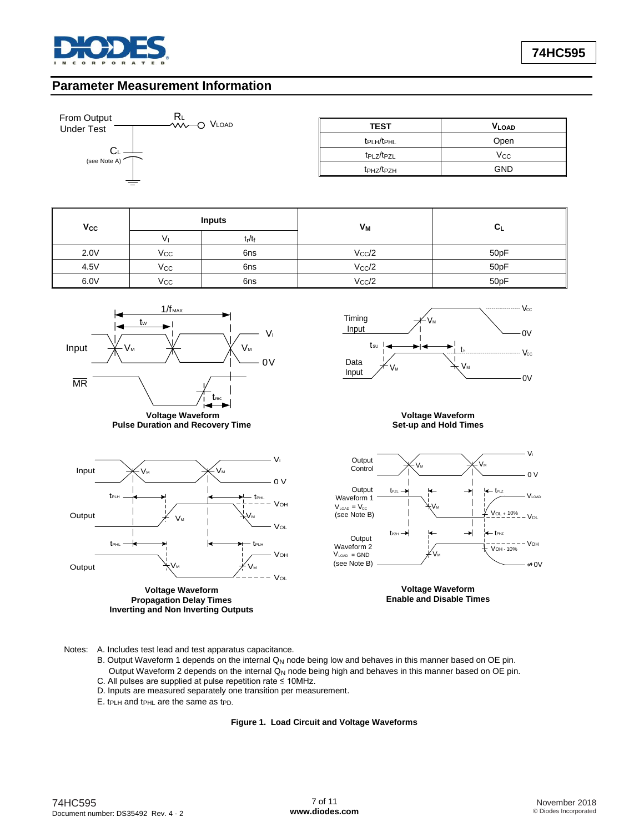

## **Parameter Measurement Information**



| From Output<br><b>INL</b><br><b>VIV-O VLOAD</b><br><b>Under Test</b> | <b>TEST</b>                        | <b>VLOAD</b> |
|----------------------------------------------------------------------|------------------------------------|--------------|
|                                                                      | t <sub>PLH</sub> /t <sub>PHL</sub> | Open         |
| ◡∟<br>(see Note A)                                                   | t <sub>PLZ</sub> /t <sub>PZL</sub> | Vcc          |
|                                                                      | t <sub>PHZ</sub> /t <sub>PZH</sub> | <b>GND</b>   |

| $V_{\rm CC}$ |              | <b>Inputs</b> | Vм             |      |
|--------------|--------------|---------------|----------------|------|
|              | V            | $t_r/t_f$     |                |      |
| 2.0V         | $V_{\rm CC}$ | 6ns           | $V_{\rm CC}/2$ | 50pF |
| 4.5V         | $V_{\rm CC}$ | 6ns           | $V_{\rm CC}/2$ | 50pF |
| 6.0V         | $V_{\rm CC}$ | 6ns           | $V_{\rm CC}/2$ | 50pF |





#### **Voltage Waveform Set-up and Hold Times**



**Voltage Waveform Propagation Delay Times Inverting and Non Inverting Outputs**



**Voltage Waveform Enable and Disable Times**

Notes: A. Includes test lead and test apparatus capacitance.

- B. Output Waveform 1 depends on the internal Q<sub>N</sub> node being low and behaves in this manner based on OE pin. Output Waveform 2 depends on the internal Q<sub>N</sub> node being high and behaves in this manner based on OE pin.
- 
- C. All pulses are supplied at pulse repetition rate ≤ 10MHz. D. Inputs are measured separately one transition per measurement.
- E. t<sub>PLH</sub> and t<sub>PHL</sub> are the same as t<sub>PD.</sub>

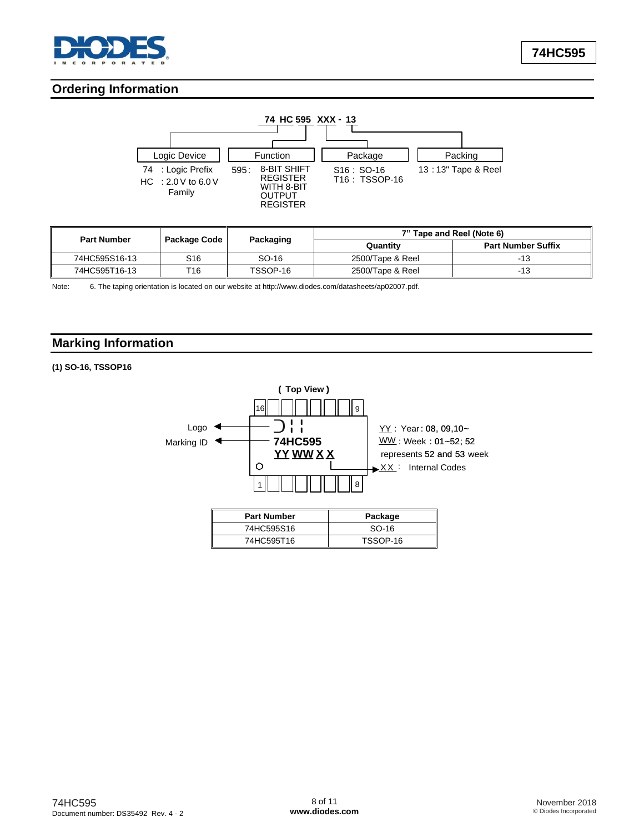

# **Ordering Information**



| <b>Part Number</b> |              | Packaging | 7" Tape and Reel (Note 6) |                           |  |
|--------------------|--------------|-----------|---------------------------|---------------------------|--|
|                    | Package Code |           | Quantity                  | <b>Part Number Suffix</b> |  |
| 74HC595S16-13      | S16          | SO-16     | 2500/Tape & Reel          |                           |  |
| 74HC595T16-13      | T16          | TSSOP-16  | 2500/Tape & Reel          | $-13$                     |  |

Note: 6. The taping orientation is located on our website at [http://www.diodes.com/datasheets/ap02007.pdf.](http://www.diodes.com/datasheets/ap02007.pdf)

# **Marking Information**

### **(1) SO-16, TSSOP16**

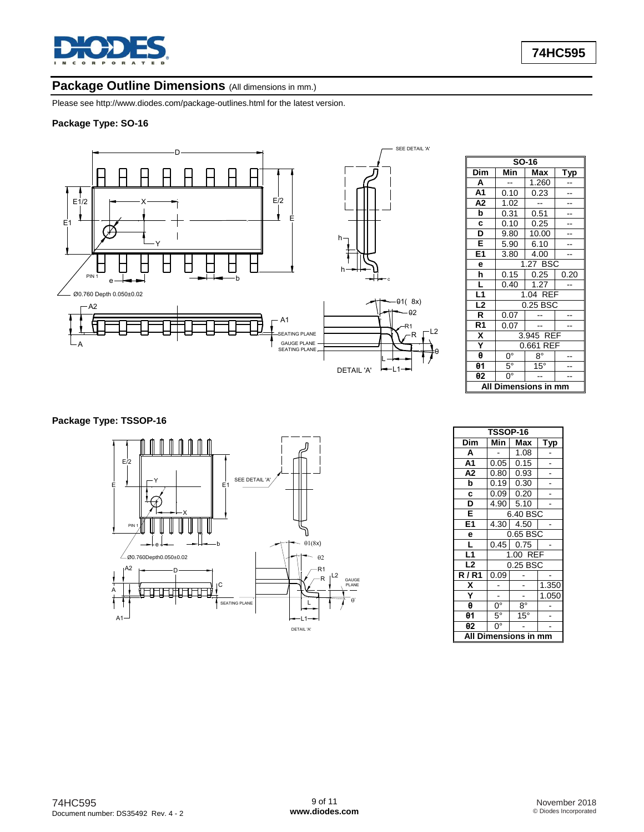

## Package Outline Dimensions (All dimensions in mm.)

Please see<http://www.diodes.com/package-outlines.html> for the latest version.

## **Package Type: SO-16**



|                           | SO-16                  |              |      |  |  |  |  |  |  |  |
|---------------------------|------------------------|--------------|------|--|--|--|--|--|--|--|
| $\overline{\mathsf{Dim}}$ | Min<br>Max<br>Typ      |              |      |  |  |  |  |  |  |  |
| A                         |                        | 1.260        |      |  |  |  |  |  |  |  |
| A <sub>1</sub>            | 0.10                   | 0.23         |      |  |  |  |  |  |  |  |
| A <sub>2</sub>            | 1.02                   |              |      |  |  |  |  |  |  |  |
| þ                         | 0.31                   | 0.51         |      |  |  |  |  |  |  |  |
| C                         | 0.10                   | 0.25         |      |  |  |  |  |  |  |  |
| D                         | 9.80                   | 10.00        |      |  |  |  |  |  |  |  |
| E                         | 5.90                   | 6.10         |      |  |  |  |  |  |  |  |
| E1                        | 3.80                   | 4.00         |      |  |  |  |  |  |  |  |
| е                         |                        | 1.27 BSC     |      |  |  |  |  |  |  |  |
| h                         | 0.15                   | 0.25         | 0.20 |  |  |  |  |  |  |  |
| Ĺ                         | 0.40                   | 1.27         |      |  |  |  |  |  |  |  |
| $\overline{L1}$           |                        | 1.04 REF     |      |  |  |  |  |  |  |  |
| L2                        |                        | 0.25 BSC     |      |  |  |  |  |  |  |  |
| $\overline{\mathsf{R}}$   | 0.07                   |              |      |  |  |  |  |  |  |  |
| R <sub>1</sub>            | 0.07                   |              |      |  |  |  |  |  |  |  |
| $\overline{\mathbf{x}}$   |                        | 3.945 REF    |      |  |  |  |  |  |  |  |
| Ÿ                         |                        | 0.661 REF    |      |  |  |  |  |  |  |  |
| θ                         | $\overline{0^{\circ}}$ | $8^{\circ}$  |      |  |  |  |  |  |  |  |
| θ1                        | $5^\circ$              | $15^{\circ}$ |      |  |  |  |  |  |  |  |
| θ2                        | $0^{\circ}$            |              |      |  |  |  |  |  |  |  |
| All                       | Dimensions in mm       |              |      |  |  |  |  |  |  |  |

## **Package Type: TSSOP-16**



| <b>TSSOP-16</b>       |             |              |       |  |
|-----------------------|-------------|--------------|-------|--|
| Dim                   | Min         | Max          | Тур   |  |
| A                     |             | 1.08         |       |  |
| A1                    | 0.05        | 0.15         |       |  |
| A2                    | 0.80        | 0.93         |       |  |
| þ                     | 0.19        | 0.30         |       |  |
| C                     | 0.09        | 0.20         |       |  |
| D                     | 4.90        | 5.10         |       |  |
| E                     | 6.40 BSC    |              |       |  |
| E <sub>1</sub>        | 4.30        | 4.50         |       |  |
| e                     | 0.65 BSC    |              |       |  |
| L                     |             | $0.45$ 0.75  |       |  |
| L1                    | 1.00 REF    |              |       |  |
| L <sub>2</sub>        | 0.25 BSC    |              |       |  |
| R/R1                  | 0.09        |              |       |  |
| Χ                     |             |              | 1.350 |  |
| Ÿ                     |             |              | 1.050 |  |
| θ                     | $0^{\circ}$ | $8^{\circ}$  |       |  |
| $\theta$ 1            | $5^\circ$   | $15^{\circ}$ |       |  |
| θ2                    | 0°          |              |       |  |
| ΔIΙ<br>nensions<br>mm |             |              |       |  |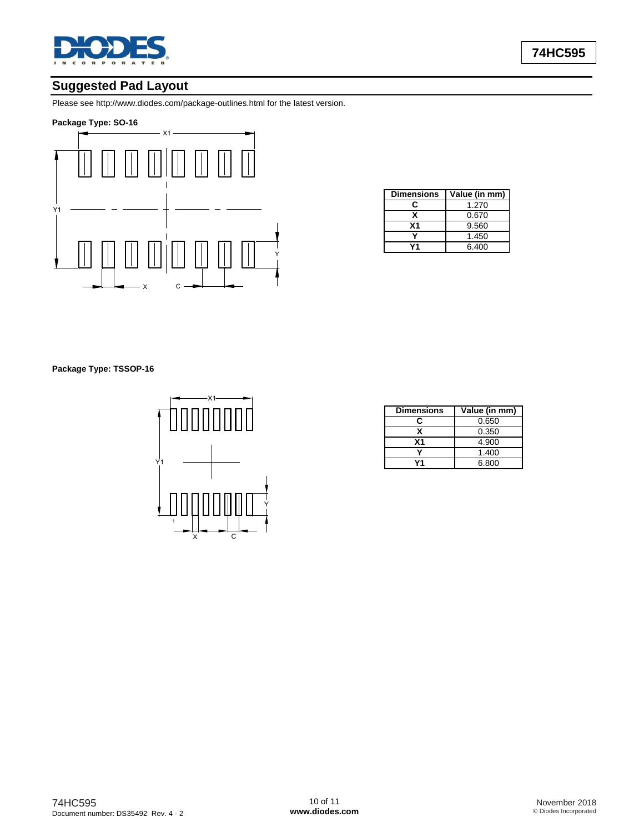

# **Suggested Pad Layout**

Please see<http://www.diodes.com/package-outlines.html> for the latest version.

### **Package Type: SO-16**



| <b>Dimensions</b> | Value (in mm) |
|-------------------|---------------|
| r                 | 1.270         |
|                   | 0.670         |
| Χ1                | 9.560         |
|                   | 1.450         |
|                   | 6.400         |

**Package Type: TSSOP-16**



| <b>Dimensions</b> | Value (in mm) |
|-------------------|---------------|
| c                 | 0.650         |
|                   | 0.350         |
| <b>X1</b>         | 4.900         |
|                   | 1.400         |
|                   | 6.800         |